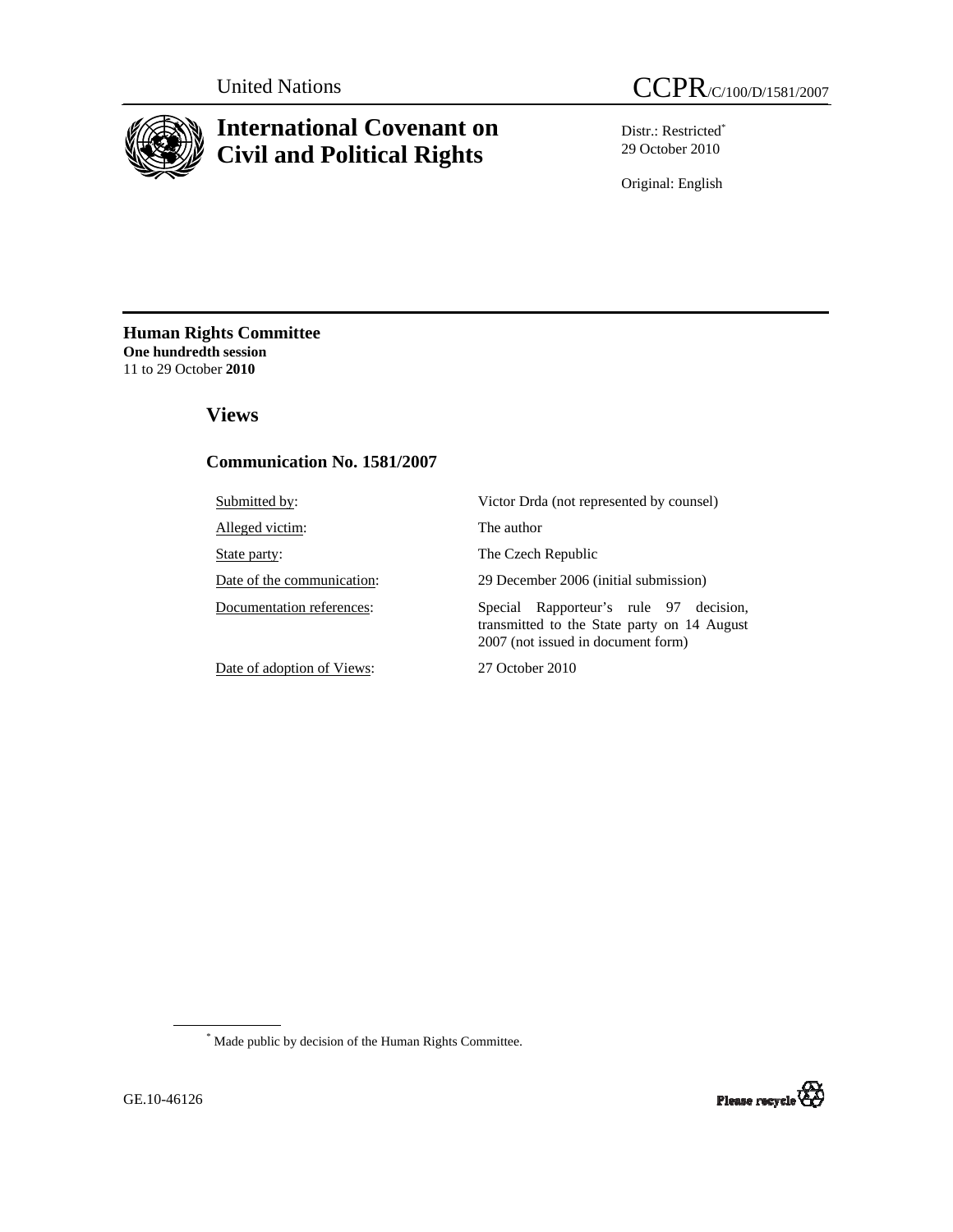

# **International Covenant on Civil and Political Rights**

Distr.: Restricted\* 29 October 2010

Original: English

**Human Rights Committee One hundredth session**  11 to 29 October **2010** 

# **Views**

### **Communication No. 1581/2007**

| Submitted by:              | Victor Drda (not represented by counsel)                                                                                       |
|----------------------------|--------------------------------------------------------------------------------------------------------------------------------|
| Alleged victim:            | The author                                                                                                                     |
| State party:               | The Czech Republic                                                                                                             |
| Date of the communication: | 29 December 2006 (initial submission)                                                                                          |
| Documentation references:  | Rapporteur's rule 97 decision,<br>Special<br>transmitted to the State party on 14 August<br>2007 (not issued in document form) |
| Date of adoption of Views: | 27 October 2010                                                                                                                |

\* Made public by decision of the Human Rights Committee.

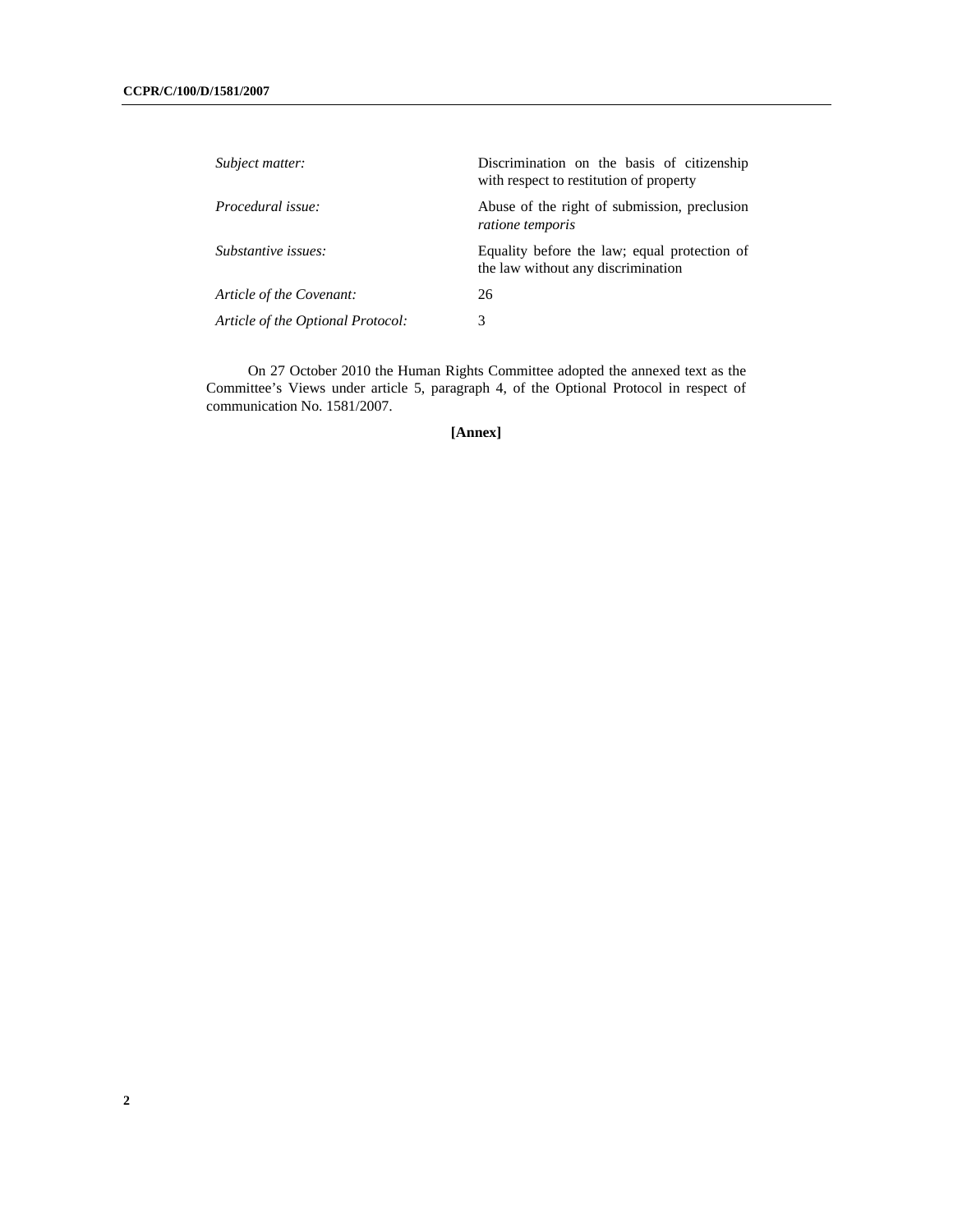| Subject matter:                   | Discrimination on the basis of citizenship<br>with respect to restitution of property |
|-----------------------------------|---------------------------------------------------------------------------------------|
| Procedural issue:                 | Abuse of the right of submission, preclusion<br>ratione temporis                      |
| Substantive issues:               | Equality before the law; equal protection of<br>the law without any discrimination    |
| Article of the Covenant:          | 26                                                                                    |
| Article of the Optional Protocol: | 3                                                                                     |

On 27 October 2010 the Human Rights Committee adopted the annexed text as the Committee's Views under article 5, paragraph 4, of the Optional Protocol in respect of communication No. 1581/2007.

**[Annex]**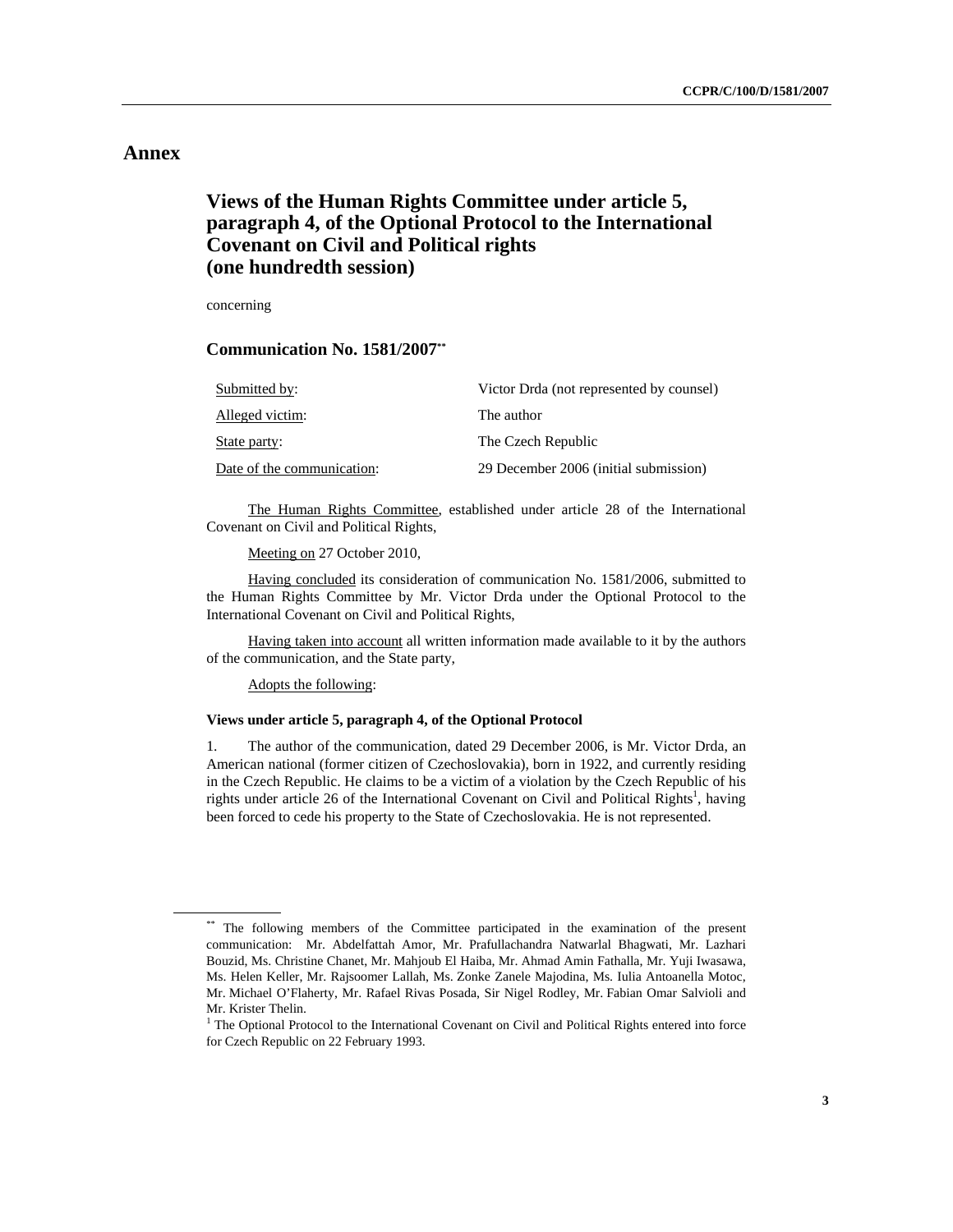### **Annex**

# **Views of the Human Rights Committee under article 5, paragraph 4, of the Optional Protocol to the International Covenant on Civil and Political rights (one hundredth session)**

concerning

 **Communication No. 1581/2007\*\***

| Submitted by:              | Victor Drda (not represented by counsel) |
|----------------------------|------------------------------------------|
| Alleged victim:            | The author                               |
| State party:               | The Czech Republic                       |
| Date of the communication: | 29 December 2006 (initial submission)    |

 The Human Rights Committee, established under article 28 of the International Covenant on Civil and Political Rights,

Meeting on 27 October 2010,

 Having concluded its consideration of communication No. 1581/2006, submitted to the Human Rights Committee by Mr. Victor Drda under the Optional Protocol to the International Covenant on Civil and Political Rights,

Having taken into account all written information made available to it by the authors of the communication, and the State party,

Adopts the following:

#### **Views under article 5, paragraph 4, of the Optional Protocol**

1. The author of the communication, dated 29 December 2006, is Mr. Victor Drda, an American national (former citizen of Czechoslovakia), born in 1922, and currently residing in the Czech Republic. He claims to be a victim of a violation by the Czech Republic of his rights under article 26 of the International Covenant on Civil and Political Rights<sup>1</sup>, having been forced to cede his property to the State of Czechoslovakia. He is not represented.

<sup>\*\*</sup> The following members of the Committee participated in the examination of the present communication: Mr. Abdelfattah Amor, Mr. Prafullachandra Natwarlal Bhagwati, Mr. Lazhari Bouzid, Ms. Christine Chanet, Mr. Mahjoub El Haiba, Mr. Ahmad Amin Fathalla, Mr. Yuji Iwasawa, Ms. Helen Keller, Mr. Rajsoomer Lallah, Ms. Zonke Zanele Majodina, Ms. Iulia Antoanella Motoc, Mr. Michael O'Flaherty, Mr. Rafael Rivas Posada, Sir Nigel Rodley, Mr. Fabian Omar Salvioli and Mr. Krister Thelin.

<sup>&</sup>lt;sup>1</sup> The Optional Protocol to the International Covenant on Civil and Political Rights entered into force for Czech Republic on 22 February 1993.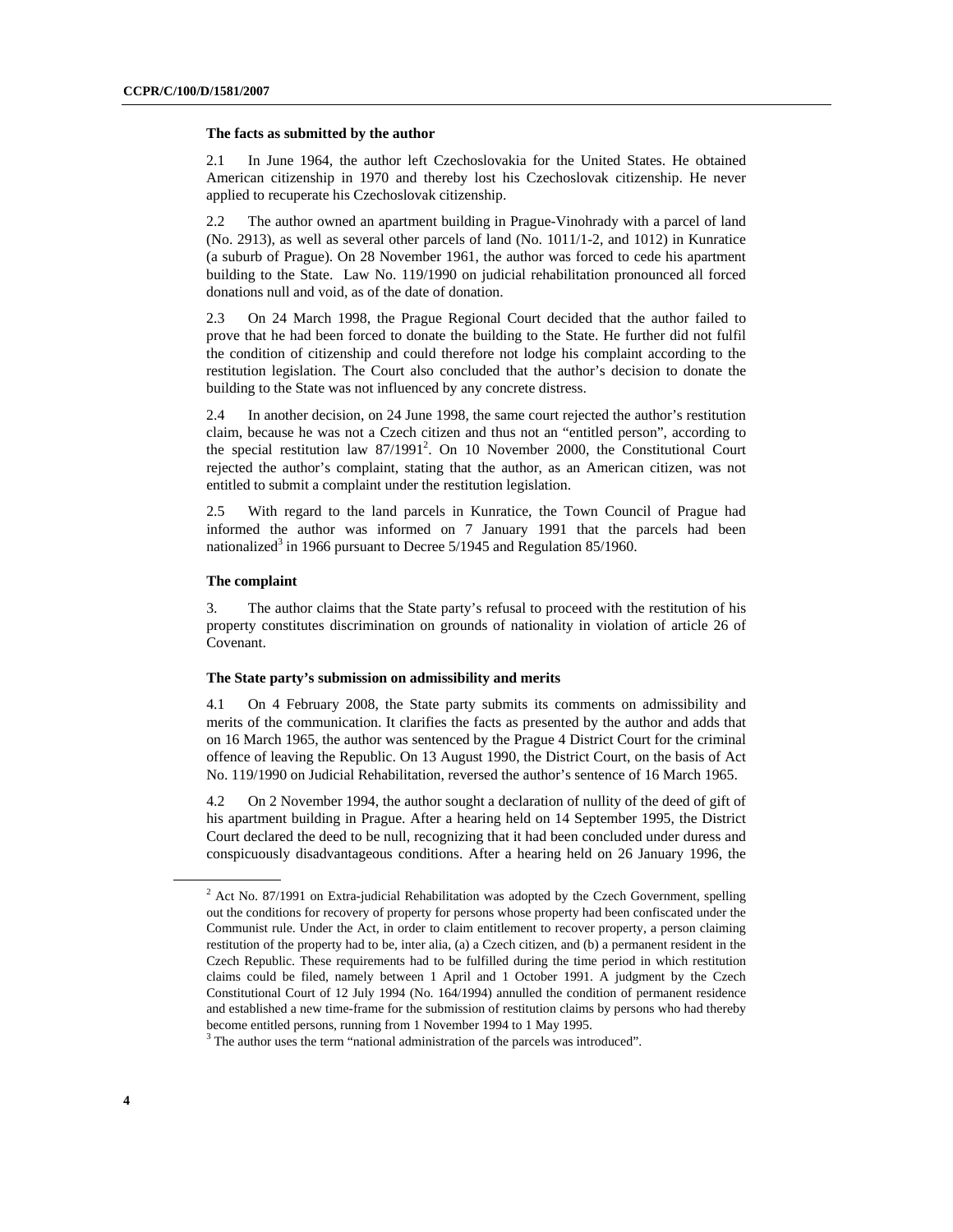#### **The facts as submitted by the author**

2.1 In June 1964, the author left Czechoslovakia for the United States. He obtained American citizenship in 1970 and thereby lost his Czechoslovak citizenship. He never applied to recuperate his Czechoslovak citizenship.

2.2 The author owned an apartment building in Prague-Vinohrady with a parcel of land (No. 2913), as well as several other parcels of land (No. 1011/1-2, and 1012) in Kunratice (a suburb of Prague). On 28 November 1961, the author was forced to cede his apartment building to the State. Law No. 119/1990 on judicial rehabilitation pronounced all forced donations null and void, as of the date of donation.

2.3 On 24 March 1998, the Prague Regional Court decided that the author failed to prove that he had been forced to donate the building to the State. He further did not fulfil the condition of citizenship and could therefore not lodge his complaint according to the restitution legislation. The Court also concluded that the author's decision to donate the building to the State was not influenced by any concrete distress.

2.4 In another decision, on 24 June 1998, the same court rejected the author's restitution claim, because he was not a Czech citizen and thus not an "entitled person", according to the special restitution law 87/1991<sup>2</sup>. On 10 November 2000, the Constitutional Court rejected the author's complaint, stating that the author, as an American citizen, was not entitled to submit a complaint under the restitution legislation.

2.5 With regard to the land parcels in Kunratice, the Town Council of Prague had informed the author was informed on 7 January 1991 that the parcels had been nationalized<sup>3</sup> in 1966 pursuant to Decree 5/1945 and Regulation 85/1960.

#### **The complaint**

3. The author claims that the State party's refusal to proceed with the restitution of his property constitutes discrimination on grounds of nationality in violation of article 26 of Covenant.

#### **The State party's submission on admissibility and merits**

4.1 On 4 February 2008, the State party submits its comments on admissibility and merits of the communication. It clarifies the facts as presented by the author and adds that on 16 March 1965, the author was sentenced by the Prague 4 District Court for the criminal offence of leaving the Republic. On 13 August 1990, the District Court, on the basis of Act No. 119/1990 on Judicial Rehabilitation, reversed the author's sentence of 16 March 1965.

4.2 On 2 November 1994, the author sought a declaration of nullity of the deed of gift of his apartment building in Prague. After a hearing held on 14 September 1995, the District Court declared the deed to be null, recognizing that it had been concluded under duress and conspicuously disadvantageous conditions. After a hearing held on 26 January 1996, the

 $2^2$  Act No. 87/1991 on Extra-judicial Rehabilitation was adopted by the Czech Government, spelling out the conditions for recovery of property for persons whose property had been confiscated under the Communist rule. Under the Act, in order to claim entitlement to recover property, a person claiming restitution of the property had to be, inter alia, (a) a Czech citizen, and (b) a permanent resident in the Czech Republic. These requirements had to be fulfilled during the time period in which restitution claims could be filed, namely between 1 April and 1 October 1991. A judgment by the Czech Constitutional Court of 12 July 1994 (No. 164/1994) annulled the condition of permanent residence and established a new time-frame for the submission of restitution claims by persons who had thereby become entitled persons, running from 1 November 1994 to 1 May 1995.

<sup>&</sup>lt;sup>3</sup> The author uses the term "national administration of the parcels was introduced".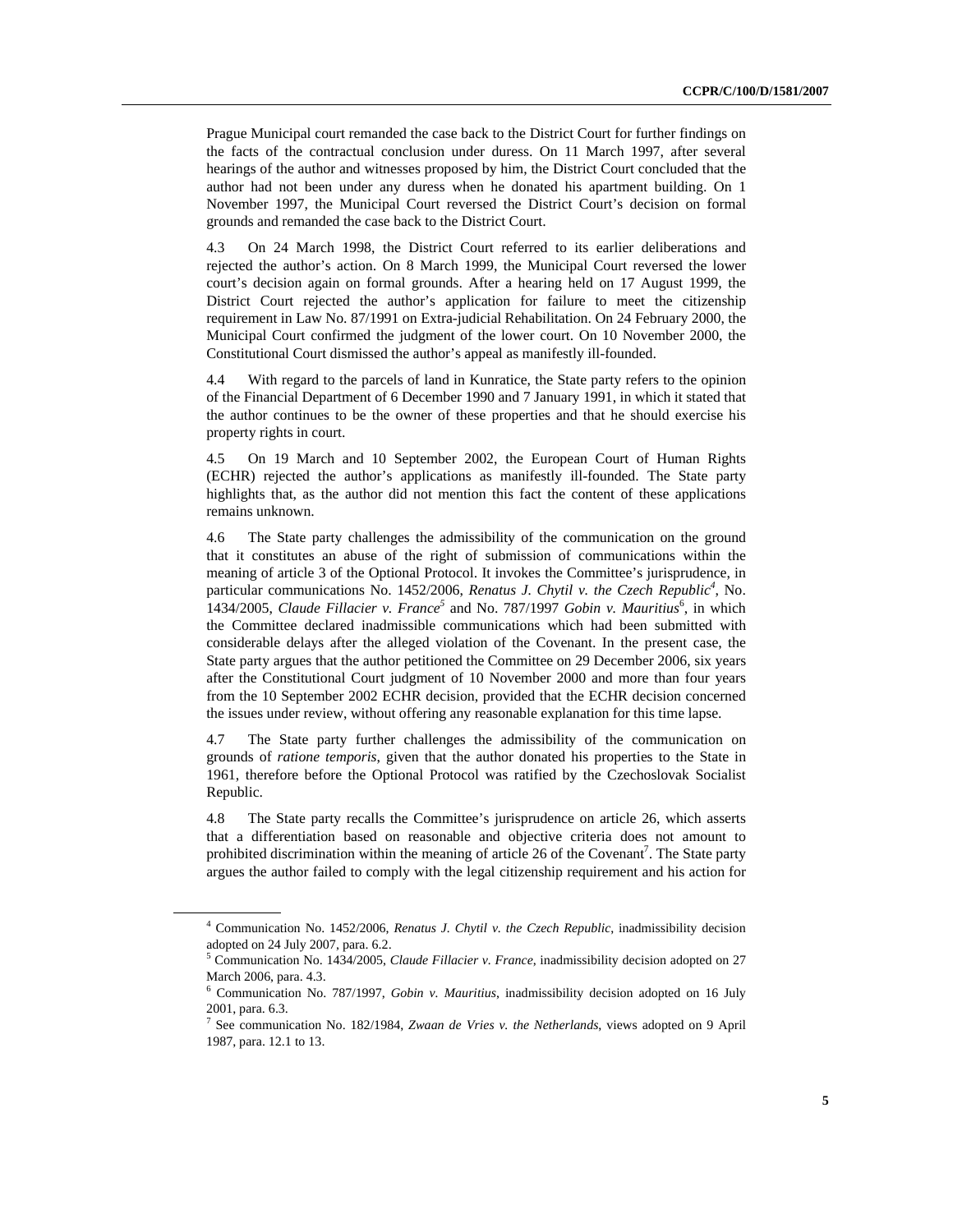Prague Municipal court remanded the case back to the District Court for further findings on the facts of the contractual conclusion under duress. On 11 March 1997, after several hearings of the author and witnesses proposed by him, the District Court concluded that the author had not been under any duress when he donated his apartment building. On 1 November 1997, the Municipal Court reversed the District Court's decision on formal grounds and remanded the case back to the District Court.

4.3 On 24 March 1998, the District Court referred to its earlier deliberations and rejected the author's action. On 8 March 1999, the Municipal Court reversed the lower court's decision again on formal grounds. After a hearing held on 17 August 1999, the District Court rejected the author's application for failure to meet the citizenship requirement in Law No. 87/1991 on Extra-judicial Rehabilitation. On 24 February 2000, the Municipal Court confirmed the judgment of the lower court. On 10 November 2000, the Constitutional Court dismissed the author's appeal as manifestly ill-founded.

4.4 With regard to the parcels of land in Kunratice, the State party refers to the opinion of the Financial Department of 6 December 1990 and 7 January 1991, in which it stated that the author continues to be the owner of these properties and that he should exercise his property rights in court.

4.5 On 19 March and 10 September 2002, the European Court of Human Rights (ECHR) rejected the author's applications as manifestly ill-founded. The State party highlights that, as the author did not mention this fact the content of these applications remains unknown.

4.6 The State party challenges the admissibility of the communication on the ground that it constitutes an abuse of the right of submission of communications within the meaning of article 3 of the Optional Protocol. It invokes the Committee's jurisprudence, in particular communications No. 1452/2006, *Renatus J. Chytil v. the Czech Republic<sup>4</sup>*, No. 1434/2005, *Claude Fillacier v. France*<sup>5</sup> and No. 787/1997 *Gobin v. Mauritius*<sup>6</sup>, in which the Committee declared inadmissible communications which had been submitted with considerable delays after the alleged violation of the Covenant. In the present case, the State party argues that the author petitioned the Committee on 29 December 2006, six years after the Constitutional Court judgment of 10 November 2000 and more than four years from the 10 September 2002 ECHR decision, provided that the ECHR decision concerned the issues under review, without offering any reasonable explanation for this time lapse.

4.7 The State party further challenges the admissibility of the communication on grounds of *ratione temporis*, given that the author donated his properties to the State in 1961, therefore before the Optional Protocol was ratified by the Czechoslovak Socialist Republic.

4.8 The State party recalls the Committee's jurisprudence on article 26, which asserts that a differentiation based on reasonable and objective criteria does not amount to prohibited discrimination within the meaning of article 26 of the Covenant<sup>7</sup>. The State party argues the author failed to comply with the legal citizenship requirement and his action for

<sup>4</sup> Communication No. 1452/2006, *Renatus J. Chytil v. the Czech Republic*, inadmissibility decision adopted on 24 July 2007, para. 6.2.

<sup>5</sup> Communication No. 1434/2005, *Claude Fillacier v. France*, inadmissibility decision adopted on 27 March 2006, para. 4.3.

<sup>6</sup> Communication No. 787/1997, *Gobin v. Mauritius*, inadmissibility decision adopted on 16 July 2001, para. 6.3.

<sup>7</sup> See communication No. 182/1984, *Zwaan de Vries v. the Netherlands*, views adopted on 9 April 1987, para. 12.1 to 13.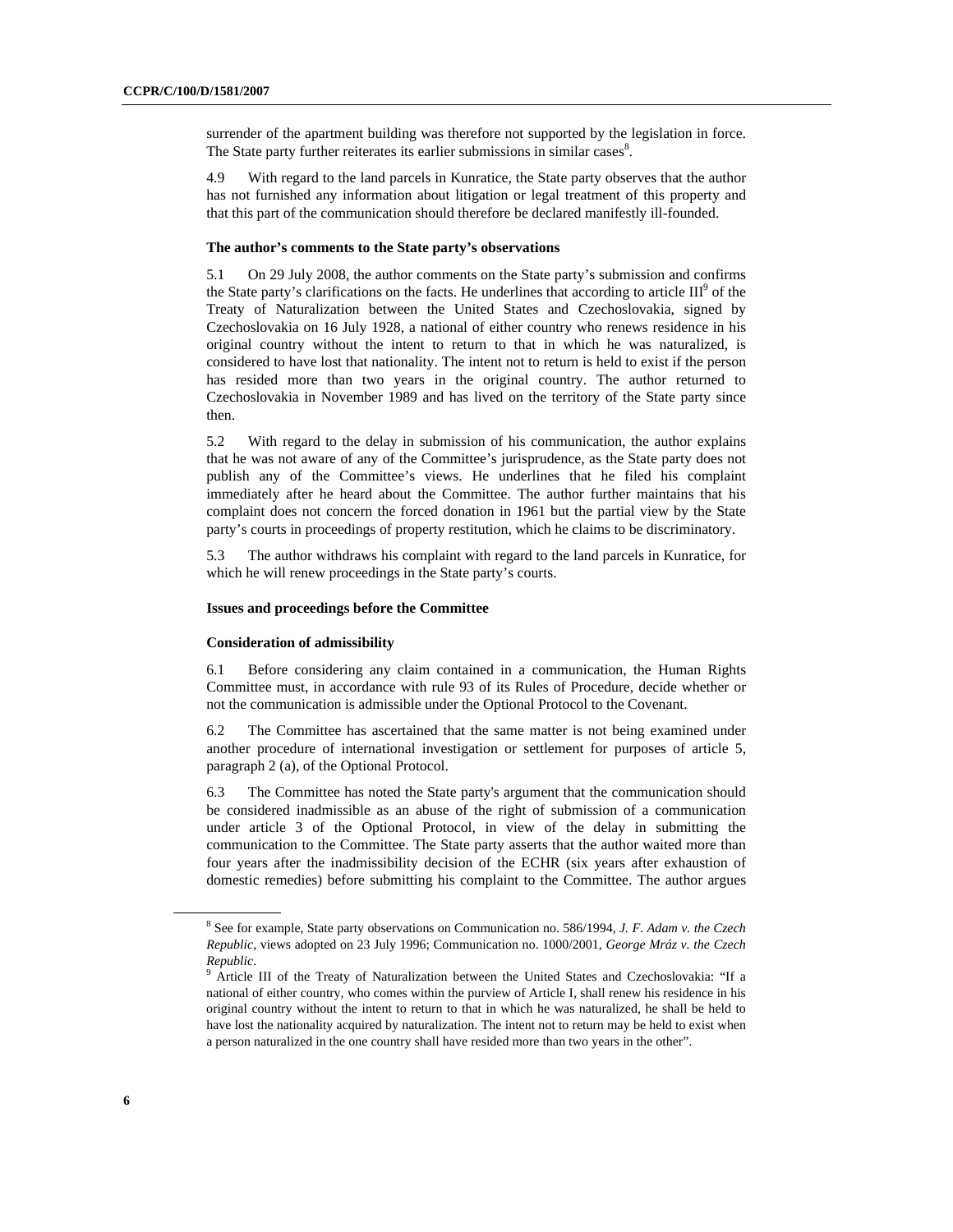surrender of the apartment building was therefore not supported by the legislation in force. The State party further reiterates its earlier submissions in similar cases<sup>8</sup>.

4.9 With regard to the land parcels in Kunratice, the State party observes that the author has not furnished any information about litigation or legal treatment of this property and that this part of the communication should therefore be declared manifestly ill-founded.

#### **The author's comments to the State party's observations**

5.1 On 29 July 2008, the author comments on the State party's submission and confirms the State party's clarifications on the facts. He underlines that according to article  $III^9$  of the Treaty of Naturalization between the United States and Czechoslovakia, signed by Czechoslovakia on 16 July 1928, a national of either country who renews residence in his original country without the intent to return to that in which he was naturalized, is considered to have lost that nationality. The intent not to return is held to exist if the person has resided more than two years in the original country. The author returned to Czechoslovakia in November 1989 and has lived on the territory of the State party since then.

5.2 With regard to the delay in submission of his communication, the author explains that he was not aware of any of the Committee's jurisprudence, as the State party does not publish any of the Committee's views. He underlines that he filed his complaint immediately after he heard about the Committee. The author further maintains that his complaint does not concern the forced donation in 1961 but the partial view by the State party's courts in proceedings of property restitution, which he claims to be discriminatory.

5.3 The author withdraws his complaint with regard to the land parcels in Kunratice, for which he will renew proceedings in the State party's courts.

#### **Issues and proceedings before the Committee**

#### **Consideration of admissibility**

6.1 Before considering any claim contained in a communication, the Human Rights Committee must, in accordance with rule 93 of its Rules of Procedure, decide whether or not the communication is admissible under the Optional Protocol to the Covenant.

6.2 The Committee has ascertained that the same matter is not being examined under another procedure of international investigation or settlement for purposes of article 5, paragraph 2 (a), of the Optional Protocol.

6.3 The Committee has noted the State party's argument that the communication should be considered inadmissible as an abuse of the right of submission of a communication under article 3 of the Optional Protocol, in view of the delay in submitting the communication to the Committee. The State party asserts that the author waited more than four years after the inadmissibility decision of the ECHR (six years after exhaustion of domestic remedies) before submitting his complaint to the Committee. The author argues

<sup>8</sup> See for example, State party observations on Communication no. 586/1994, *J. F. Adam v. the Czech Republic*, views adopted on 23 July 1996; Communication no. 1000/2001, *George Mráz v. the Czech Republic*. 9

<sup>&</sup>lt;sup>9</sup> Article III of the Treaty of Naturalization between the United States and Czechoslovakia: "If a national of either country, who comes within the purview of Article I, shall renew his residence in his original country without the intent to return to that in which he was naturalized, he shall be held to have lost the nationality acquired by naturalization. The intent not to return may be held to exist when a person naturalized in the one country shall have resided more than two years in the other".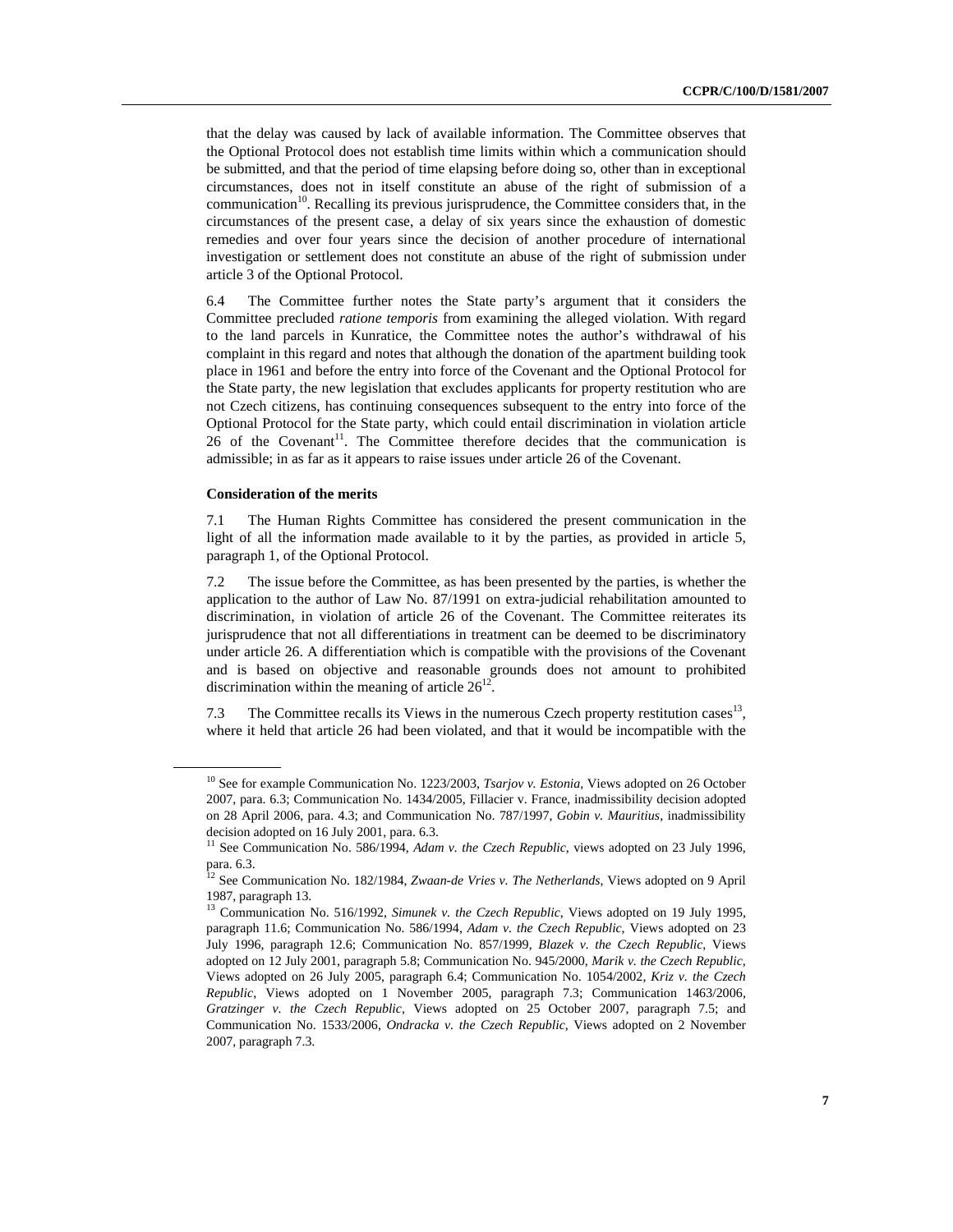that the delay was caused by lack of available information. The Committee observes that the Optional Protocol does not establish time limits within which a communication should be submitted, and that the period of time elapsing before doing so, other than in exceptional circumstances, does not in itself constitute an abuse of the right of submission of a communication<sup>10</sup>. Recalling its previous jurisprudence, the Committee considers that, in the circumstances of the present case, a delay of six years since the exhaustion of domestic remedies and over four years since the decision of another procedure of international investigation or settlement does not constitute an abuse of the right of submission under article 3 of the Optional Protocol.

6.4 The Committee further notes the State party's argument that it considers the Committee precluded *ratione temporis* from examining the alleged violation. With regard to the land parcels in Kunratice, the Committee notes the author's withdrawal of his complaint in this regard and notes that although the donation of the apartment building took place in 1961 and before the entry into force of the Covenant and the Optional Protocol for the State party, the new legislation that excludes applicants for property restitution who are not Czech citizens, has continuing consequences subsequent to the entry into force of the Optional Protocol for the State party, which could entail discrimination in violation article  $26$  of the Covenant<sup>11</sup>. The Committee therefore decides that the communication is admissible; in as far as it appears to raise issues under article 26 of the Covenant.

#### **Consideration of the merits**

7.1 The Human Rights Committee has considered the present communication in the light of all the information made available to it by the parties, as provided in article 5, paragraph 1, of the Optional Protocol.

7.2 The issue before the Committee, as has been presented by the parties, is whether the application to the author of Law No. 87/1991 on extra-judicial rehabilitation amounted to discrimination, in violation of article 26 of the Covenant. The Committee reiterates its jurisprudence that not all differentiations in treatment can be deemed to be discriminatory under article 26. A differentiation which is compatible with the provisions of the Covenant and is based on objective and reasonable grounds does not amount to prohibited discrimination within the meaning of article  $26<sup>12</sup>$ 

7.3 The Committee recalls its Views in the numerous Czech property restitution cases<sup>13</sup>, where it held that article 26 had been violated, and that it would be incompatible with the

<sup>&</sup>lt;sup>10</sup> See for example Communication No. 1223/2003, *Tsarjov v. Estonia*, Views adopted on 26 October 2007, para. 6.3; Communication No. 1434/2005, Fillacier v. France, inadmissibility decision adopted on 28 April 2006, para. 4.3; and Communication No. 787/1997, *Gobin v. Mauritius*, inadmissibility decision adopted on 16 July 2001, para. 6.3.

<sup>&</sup>lt;sup>11</sup> See Communication No. 586/1994, *Adam v. the Czech Republic*, views adopted on 23 July 1996, para. 6.3.

<sup>&</sup>lt;sup>12</sup> See Communication No. 182/1984, *Zwaan-de Vries v. The Netherlands*, Views adopted on 9 April 1987, paragraph 13.

<sup>&</sup>lt;sup>13</sup> Communication No. 516/1992, *Simunek v. the Czech Republic*, Views adopted on 19 July 1995, paragraph 11.6; Communication No. 586/1994, *Adam v. the Czech Republic*, Views adopted on 23 July 1996, paragraph 12.6; Communication No. 857/1999, *Blazek v. the Czech Republic*, Views adopted on 12 July 2001, paragraph 5.8; Communication No. 945/2000, *Marik v. the Czech Republic*, Views adopted on 26 July 2005, paragraph 6.4; Communication No. 1054/2002, *Kriz v. the Czech Republic*, Views adopted on 1 November 2005, paragraph 7.3; Communication 1463/2006, *Gratzinger v. the Czech Republic*, Views adopted on 25 October 2007, paragraph 7.5; and Communication No. 1533/2006, *Ondracka v. the Czech Republic*, Views adopted on 2 November 2007, paragraph 7.3.